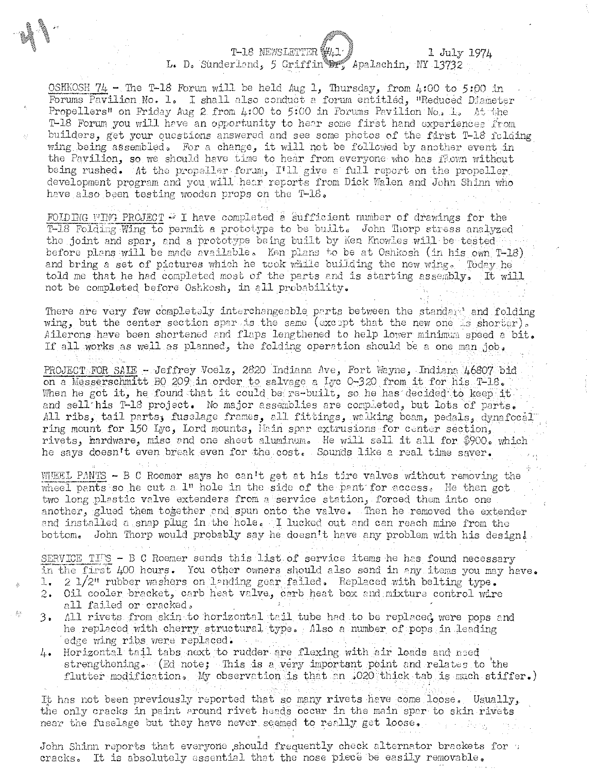T-18 NEWSLETTER W

"

## L. D. Sunderland, 5 Griffin **er,** Apalachin, NY 13732 1 July 1974

OSHKOSH  $74$  - The T-18 Forum will be held Aug 1, Thursday, from 4:00 to 5:00 in Forums Pavilion No. l. I shall also conduct a forum entitled, "Reduced Diameter Propellers" on Friday Aug 2 from  $\mu$ :00 to 5:00 in Forums Pavilion No, L. At the T-18 Forum you will have an opportunity to hear some first hand experiences from builders, get your questions answered and see some photos of the first T-18 fclding wing being assembled. For a change, it will not be followed by another event in the Pavilion, so we should have time to hear from everyone who has flown without being rushed. At the propeller forum, I'll give a full report on the propeller development program and you will hear reports from Dick Walen and John Shinn who have also been testing wooden props on the T-18.

FOLDING WING PROJECT  $\rightarrow$  I have completed a sufficient number of drawings for the  $T-18$  Folding Wing to permit a prototype to be built. John Thorp stress analyzed the joint and spar, and a prototype being built by Ken Knowles will be tested. before plans will be made available. Ken plans to be at Oshkosh (in his own T-18) and bring a set of pictures which he teok while building the new wing. Today he told me that he had completed most of the parts and is starting assembly. It will not be completed before Oshkosh, in all probability.

There are very few completely interchangeable parts between the standard and folding wing, but the center section spare is the same (except that the new one  $\sim$  shorter). Ailerons have been shortened and flaps lengthened to help lower minimum speed a bit. If all works as well as planned, the folding operntion should he a one man job,

PROJECT FOR SAIE - Jeffrey Voelz, 2820 Indiana Ave, Fort Wayne, Indiana 46807 bid on a Messerschmitt BO 209 in order to salvage a Lyc 0-320 from it for his  $T-18$ . When he got it, he found that it could be re-built, so he has decided to keep it and sell his T-18 project. No major assemblies are completed, but lots of parts. All ribs, tail parts, fusclage frames, all fittings, walking beam, pedals, dynafocal ring mount for 150 Lyc, Lord mounts, Hain spar extrusions for center section, rivets, hardware, misc and one sheet aluminum. He will sell it all for \$900. which he says doesn't even break even for the cost. Sounds like a real time saver.

WHEEL PANTS - B C Roemer says he can't get at his tire valves without removing the wheel pants so he cut a  $1$ " hole in the side of the pant' for access. He then got two long plastic valve extenders from a service station, forced them into one another, glued them together and spun onto the valve. Then he removed the extender and installed a snap plug in the hole. I lucked out and can reach mine from the bottom. John Thorp would probably say he doesn't have any problem with his design!

SERVICE TIPS - B C Roemer sends this list of service items he has found necessary in the first  $\mu$ 00 hours. You other owners should also send in any items you may have. 1. 2  $1/2$ <sup>n</sup> rubber washers on landing gear failed. Replaced with belting type.

- 2. Oil cooler bracket, carb heat valve, carb heat box and mixture control wire all failed or cracked.
- 3. All rivets from skin to horizontal tail tube had to be replaced were pops and he replaced with cherry structural type. Also a number of pops in leading edge wing ribs were replaced.
- 4. Horizontal tail tabs next to rudder are flexing with air loads and need strengthoning.  $(Ed note)$  This is a very important point and relates to the flutter modification. My observation is that an .020 thick tab is much stiffer.)

It has not been previously reported that so many rivets have come loose. Usually, the only cracks in paint around rivet heads occur in the main spar to skin rivets near the fuselage but they have never seemed to really get loose.

John Shinn reports that everyone should frequently check alternator brackets for  $\tau$ cracks. It is absolutely essential that the nose piece be easily removable.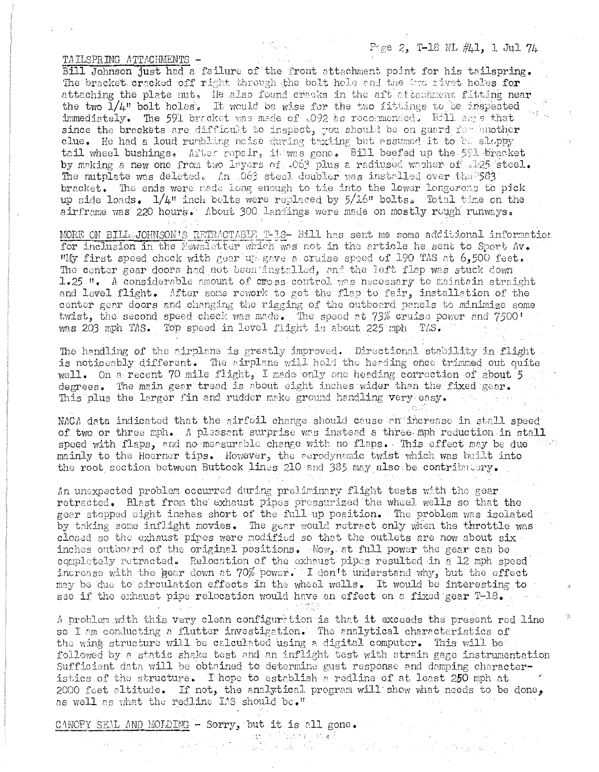Page 2, T-18 NL #41, 1 Jul 74

¥

TAILSPRING ATTACHMENTS -

Bill Johnson just had a failure of the front attachment point for his tailspring. The bracket cracked off right through the bolt hole and the two rivet holes for attaching the plate nut. He also found cracks in the aft attachment fitting near the two  $1/\mu$ " bolt holes. It would be wise for the two fittings to be inspected immediately. The 591 bracket was made of 2092 as recommended. Bill says that since the brackets are difficult to inspect, you should be on guard for another clue. He had a loud runbling noise during taxiing but assumed it to be sloppy tail wheel bushings. After ropair, it was gone. Bill beefed up the 591 bracket by making a new one from two layers of .063 plus a radiused washer of .125 steel. The nutplate was deleted. An 063 steel doubler was installed over the 583 bracket. The ends were made long enough to tie into the lower longerons to pick up side loads.  $1/4$ " inch bolts were replaced by  $5/16$ " bolts. Total time on the airframe was 220 hours. About 300 landings were made on mostly rough runways.

MORE ON BILL-JOHNSON'S RETRACTABUE T-13- Bill has sent me some additional information for inclusion in the Newsletter which was not in the article he sent to Sport Av. "My first speed chock with gear up gave a cruise speed of 190 TAS at 6,500 feet. The center gear doors had not been installed, and the left flap was stuck down 1.25  $\mu$ . A considerable amount of cross control was necessary to maintain straight and level flight. After some rework to get the flap to fair, installation of the center gear doors and changing the rigging of the outboard panels to minimize some twist, the second speed check was made. The speed at 73% cruise power and 7500! was 203 mph TAS. Top speed in level flight is about 225 mph TAS.

The handling of the airplane is greatly improved. Directional stability in flight is noticeably different. The airplane will hold the heading once trimmed out quite well. On a recent 70 mile flight, I made only one heading correction of about 5 degrees. The main gear tread is about eight inches wider than the fixed gear. This plus the larger fin and rudder make ground handling very easy.

NACA data indicated that the airfoil change should cause an increase in stall speed of two or three mph. A pleasent surprise was instead a three mph reduction in stall speed with flaps, and no measurable change with no flaps. This effect may be due mainly to the Hoerner tips. However, the eerodynamic twist which was built into the root section between Buttock lines 210 and 385 may also be contributory.

An unexpected problem occurred during preliminary flight tests with the gear retracted. Blast from the exhaust pipes pressurized the wheel wells so that the gear stopped eight inches short of the full up position. The problem was isolated by taking some inflight movies. The gear would retract only when the throttle was closed so the exhaust pipes were modified so that the outlets are now about six inches outboard of the original positions. Now, at full power the gear can be completely retracted. Relocation of the exhaust pipes resulted in a 12 mph speed increase with the gear down at 70% power. I don't understand why, but the effect may be due to circulation effects in the wheel wells. It would be interesting to see if the exhaust pipe relocation would have an effect on a fixed gear T-18.

A problem with this very clean configuration is that it exceeds the present red line so I am conducting a flutter investigation. The analytical characteristics of the wing structure will be calculated using a digital computer. This will be followed by a static shake test and an inflight test with strain gage instrumentation Sufficient data will be obtained to determine gust response and damping characteristics of the structure. I hope to establish a redline of at least 250 mph at 2000 feet altitude. If not, the analytical program will show what needs to be done, as well as what the redline IAS should be."

71

CANOPY SEAL AND MOLDING - Sorry, but it is all gone. โกรมาย (วันหลักเทคโป<br>วัวเจนีย์ (จันพาเจนีย์)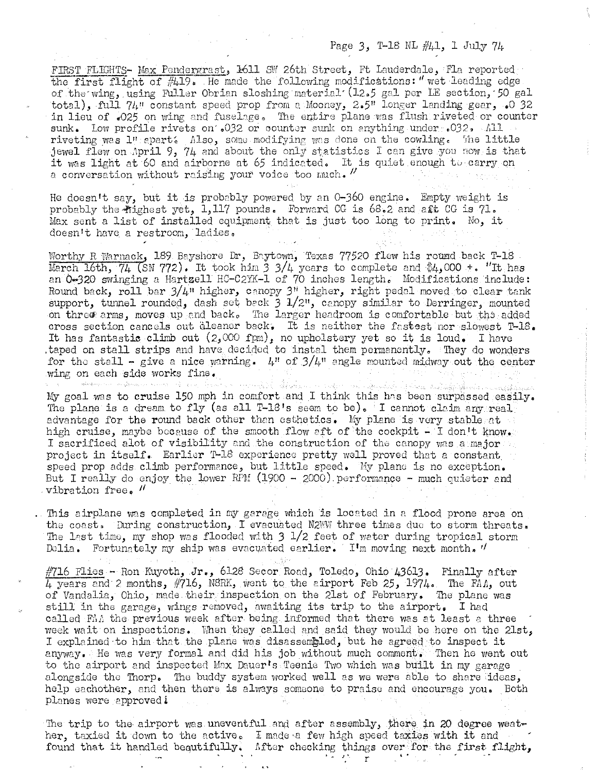## Page 3, T-18 NL  $\#41$ , 1 July 74

FIRST FLIGHTS- Max Pendergrast, 1611 SW 26th Street, Ft Lauderdale, Fla reported the first flight of  $#419.$  He made the following modifications: " wet leading edge of the wing, using Fuller Obrian sloshing material (12.5 gal per LE section, 50 gal total), full 74" constant speed prop from a Mooney, 2.5" longer landing gear, .0 32 in lieu of .025 on wing and fuselage. The entire plane was flush riveted or counter sunk. Low profile rivets on .032 or counter sunk on anything under .032, All riveting was l" apart. Also, some modifying was done on the cowling. The little jewel flew on April 9, 74 and about the only statistics I can give you now is that it was light at 60 and airborne at 65 indicated. It is quiet enough to carry on a conversation without raising your voice too much. "

He doesn't say, but it is probably powered by an 0-360 engine. Empty weight is probably the flighest yet,  $1,117$  pounds. Forward CG is  $68.2$  and aft CG is  $71.$ Max sent a list of installed equipment that is just too long to print. No, it doesn't have a restroom, ladies,

Worthy R Warnack, 189 Bayshore Dr, Baytown, Texas 77520 flew his round back T-18 March 16th, 74 (SN 772). It took him 3 3/4 years to complete and \$4,000 +. "It has an 0-320 swinging a Hartzell HC-C2YK-l of 70 inches length. Modifications include: Round back, roll bar  $3/4$ " higher, canopy  $3$ " higher, right pedal moved to clear tank support, tunnel rounded, dash set back 3 1/2", canopy similar to Derringer, mounted on three arms, moves up and back. The larger headroom is comfortable but the added cross section cancels out aleaner back. It is neither the fastest nor slowest T-18. It has fantastic climb out  $(2,000 \text{ fm})$ , no upholstery yet so it is loud. I have ,taped on stall strips and have decided to instal them permanently, They do wonders for the stall - give a nice warning.  $\mu$ <sup>n</sup> of  $3/\mu$ <sup>n</sup> angle mounted midway out the center wing on each side works fine.

My goal was to cruise 150 mph in comfort and I think this has been surpassed easily. The plane is a dream to fly (as all  $T-18'$ s seem to be). I cannot claim any real advantage for the round back other than esthetics. My plane is very stable at high cruise, maybe because of the smooth flow aft of the cockpit  $-$  I don't know. I sacrificed alot of visibility and the construction of the canopy was a major  $\mathbb{Z}_2$ project in itself. Earlier T-18 experience pretty well proved that a constant. speed prop adds climb performance, but little speed. My plane is no exception. But I really do enjoy the lower RPM (1900 - 2000).performance - much quieter and vibration free.  $\prime\prime$ 

This airplane was completed in my garage which is located in a flood prone area on the coast. During construction, I evacuated N2WW three times due to storm threats. The last time, my shop was flooded with  $3 \frac{1}{2}$  feet of water during tropical storm Delia. Fortunately my ship was evacuated earlier. I'm moving next month.  $\prime\prime$ 

 $\#$ 716 Flies - Ron Kuyoth, Jr., 6128 Secor Road, Toledo, Ohio 43613. Finally after  $\overline{4}$  years and 2 months,  $\#$ 716, N8RK, went to the airport Feb 25, 1974. The FAA, out of Vandalia, Ohio, made their inspection on the 21st of February. The plane was still in the garage, wings removed, awaiting its trip to the airport. I had called  $F\Lambda\Lambda$  the previous week after being informed that there was at least a three week wait on inspections. When they called and said they would be here on the 21st, I explained to him that the plane was disassembled, but he agreed to inspect it anyway. He was very formal and did his job without much comment. Then he went out to the airport and inspected Max Dauer's Teenie Two which was built in my garage alongside the Thorp. The buddy system worked well as we were able to share ideas, help eachother, and then there is always someone to praise and encourage you. Both planes were approved!

The trip to the airport was uneventful and after assembly, there in 20 degree weather, taxied it down to the active. I made a few high speed taxies with it and found that it handled beautifully. Mfter checking things over for the first flight,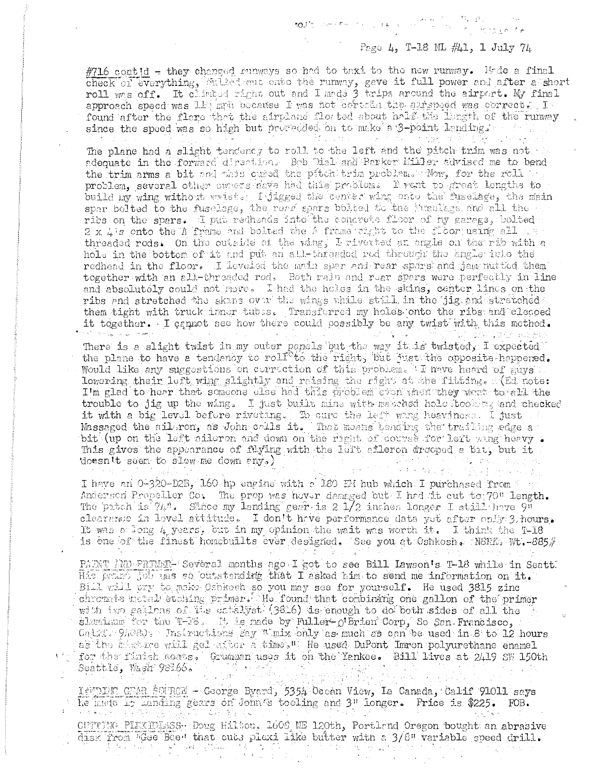Page 4, T-18 ML #41, 1 July 74

#716 contid - they changed runways so had to taxi to the new runway. Mode a final check of everything, stilled out onto the runway, gave it full power and after a short roll was off. It climbed right out and I made 3 trips around the airport. My final approach speed was lit man because I was not certed the alrepeed was correct. I found after the flare that the airplane floated about half the larger of the runway since the speed was so high but proveeded on to make a 3-point lending. March 2019 and the second special and in the second second second second second second second second second second second second second second second second second second second second second second second second second se

The plane had a slight tendency to roll to the left and the pitch trim was not adequate in the forward direction. Bob Dial and Parker Miller advised me to bend the trim arms a bit and this cursd the pitch trim problem. Now, for the roll we problem, several other cuncts neve had this problem. I went to great lengths to build my wing without wrists. I jigged the center wing onto the fuselage, the main spar bolted to the fuselage, the read spars bolted to the inselage and all the ribs on the spars. I put redheads into the concrete floor of my garage, bolted . 2 x L's onto the A frame and bolted the A frame right to the floor using all we threaded rods. On the outside of the wing, I riverted an angle on the rib with a hole in the bottom of it and put an all-threaded rod through the angle into the redhead in the floor. I leveled the main spar and rear spars and jam mitted them together with an all-threaded rod. Both main and rear spars were perfectly in line and absolutely could not nove. I had the holes in the skins, center lines on the ribs and stretched the skans over the wings while still in the jig and stretched them tight with truck inner tubes. Transferred my holes onto the ribs and cleaced it together. I cannot see how there could possibly be any twist with this method. and and all and more and the control of the control of the company of the control of the control of the control of the control of t<br>The control of the control of the control of the control of the control of the control of the control of the c a P

There is a slight twist in my outer panels but the way it is twisted, I expected the plane to have a tendency to roll to the right, but just the opposite happened. Would like any suggestions on correction of this problem. I nave heard of mays lowering their left wing slightly and raising the right at the fitting. All note: I'm glad to hear that someone else had this problem even when they went to all the trouble to jig up the wing. I just built mine with matched hole itooid againd checked it with a big level before riveting. To cure the left wing heaviness. I just Massaged the ailgron, as John calls it. That means tending the trailing edge a bit (up on the left aileron and down on the right of course for left wing heavy. This gives the appearance of flying with the left aileron drooped a bit, but it doesn't seem to slow me down any, )

I have an 0-320-D2B, 160 hp engine with a 180 EM hub which I purchased from the Anderson Propeller Co. The prop was nover demaged but. I had it out to 70" length. The pitch is  $74.6$ . Since my landing gear is 2 1/2 inches longer I still have 9" clearance in lovel attitude. I don't have performance data yet after only 3 hours. It was a long 4 years, but in my opinion the wait was worth it. I think the T-18 is one of the finest homeonilts ever designed. See you at Oshkosh. NoRK, Wt.-885#

PARNT AND PRIMER- Several months ago I got to see Bill Lawson's T-18 while in Seatt His pating job this so outstanding that I asked him to send me information on it. Bill will pry to make Ornkosh so you may see for yourself. He used 3815 zinc chronats installer sing primer. He found that combining one gallon of the primer with two gallens of its catalyst (3816) is enough to do both sides of all the slaminum for the T-38. It is nade by Fuller-O'Brien Corp, So San Francisco, Calial. 94080. Instructions say <sup>n'</sup>mix only as much as can be used in 8 to 12 hours as the misture will geleater a times" He used DuPont Imron polyurethane enamel for the finish scats. Grunnan uses it on the Yankee. Bill lives at 2419 SW 150th Seattle, Wash 98166.

ISULE CEAR SOURCE - George Byard, 5354 Ocean View, La Canada, Calif 91011 says he hade in landing gears on John's tooling and 3" longer. Price is \$225. FOB. Company Register

CUTTING PIEXIGEASS. Doug Hilton, 1608 NE 120th, Portland Oregon bought an abrasive disk from "Gee Bee" that cuts plexi like butter with a 3/8" variable speed drill.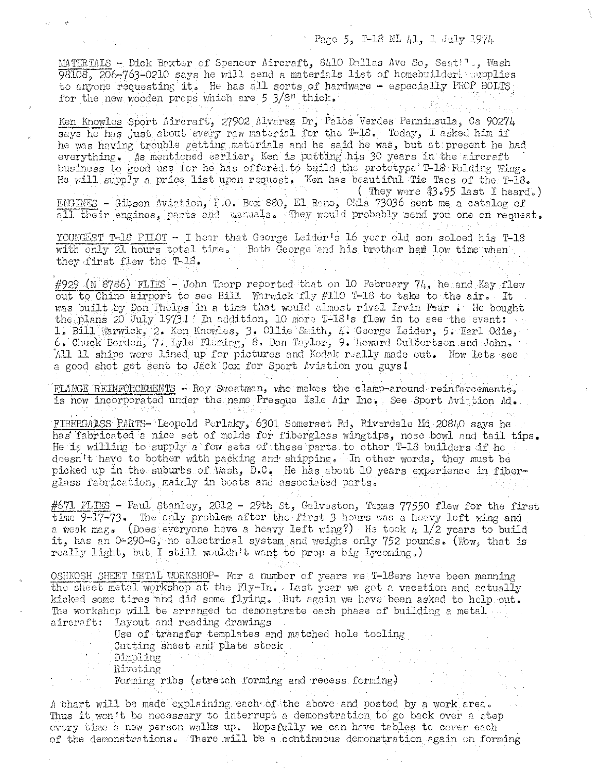## Pago 5, T-18 NL 41, 1 July 1974

MATERIMIS - Dick Baxter of Spencer Aircraft, 8410 Dallas Ave So, Seattle, Wash 98108, 206-763-0210 says he will send a materials list of homebuildert supplies to anyone requesting it. He has all sorts of hardware - especially PROP BOLTS for the new wooden props which are 5 3/8" thick.

Ken Knowles Sport Aircraft, 27902 Alvarez Dr. Palos Verdes Penninsula, Ca 90274 says he has just about every raw material for the T-18. Today, I asked him if he was having trouble getting materials and he said he was, but at present he had everything. As mentioned earlier, Ken is putting his 30 years in the aircreft business to good use for he has offered to build the prototype T-18 Folding Wing. He will supply a price list upon request. Ken has beautiful Tie Tacs of the T-18. (They were \$3.95 last I heard.)

ENGINES - Gibson Aviation, P.O. Box 880, El Reno, Okla 73036 sent me a catalog of all their engines, parts and manuals. They would probably send you one on request.

YOUNGEST T-18 PILOT - I hear that George Leider's 16 year old son soloed his T-18 with only 21 hours total time. Both George and his brother had low time when they first flew the  $T-18$ .

 $\#929$  (N 8786) FLIES - John Thorp reported that on 10 February 74, he and Kay flew out to Chino airport to see Bill Warwick fly #110 T-18 to take to the air. It was built by Don Phelps in a time that would almost rivel Irvin Faur . He bought the plans 20 July 19731 In addition, 10 more T-18's flew in to see the event: 1. Bill Warwick, 2. Ken Knowles, 3. Ollie Smith, 4. George Leider, 5. Earl Odie, 6. Chuck Borden, 7. Lyle Fleming, 8. Don Taylor, 9. Howard Culbertson and John. All 11 ships were lined up for pictures and Kodak really made out. Now lets see a good shot get sent to Jack Cox for Sport Aviation you guys!

FLANGE REINFORCEMENTS - Roy Sweatman, who makes the clamp-around reinforcements. is now incorporated under the name Presque Isle Air Inc. See Sport Avistion Ad.

FIBERGALSS PARTS- Leopold Perlaky, 6301 Somerset Rd, Riverdale Md 20840 says he has fabricated a nice set of molds for fiberglass wingtips, nose bowl and tail tips. He is willing to supply a few sets of these parts to other T-18 builders if he doesn't have to bother with packing and shipping. In other words, they must be picked up in the suburbs of Wash, D.C. He has about 10 years experience in fiberglass fabrication, mainly in boats and associated parts.

#671 FLIES - Paul Stanley, 2012 - 29th St, Galveston, Texas 77550 flew for the first time 9-17-73. The only problem after the first 3 hours was a heavy left wing and a weak mag. (Does everyone have a heavy left wing?) He took  $4\sqrt{1/2}$  years to build it, has an 0-290-G, no electrical system and weighs only 752 pounds. (Wow, that is really light, but I still wouldn't want to prop a big Lycoming.)

OSHKOSH SHEET HETAL WORKSHOP- For a number of years we T-18ers have been manning the sheet metal workshop at the Fly-In. Last year we got a vacation and actually kicked some tires and did some flying. But again we have been asked to help out. The workshop will be arranged to demonstrate each phase of building a metal ... aircraft: Layout and reading drawings

Use of transfer templates and matched hole tooling

Cutting sheet and plate stock

Dimpling

Riveting

Forming ribs (stretch forming and recess forming)

A chart will be made explaining each of the above and posted by a work area. Thus it won't be necessary to interrupt a demonstration to go back over a step every time a new person walks up. Hopefully we can have tables to cover each of the demonstrations. There will be a continuous demonstration again on forming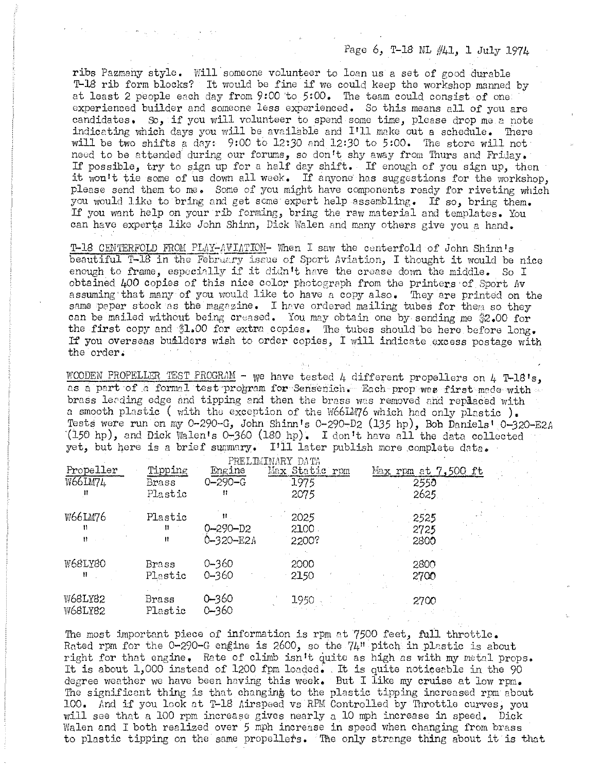## Page 6, T-18 NL #41, 1 *July* 1974

ribs Pazmahy style. Will someone volunteer to loan us a set of good durable T-18 rib form blocks? It would be fine if we could keep the workshop manned by at least 2 people each day from 9:00 'to 5:00. The team could consist of one: experienced builder and someone less experienced. So this means ell of you are candidates. So, if you will volunteer to spend some time, please drop me *e* note indicating which days you will be available and I'll make out a schedule. There will be two shifts a day:  $9:00$  to 12:30 and 12:30 to 5:00. The store will not need to be attended during our forums, so don't shy away from Thurs and Friday. If possible, try to sign up for a half day shift. If enough of you sign up, then it won't tie some of us down all week. If anyone has suggestions for the workshop, please send them to me. Some of you might have components ready for riveting which you would like to bring and get some expert help assembling. If so, bring them. If you want help on your rib forming, bring the raw material and templates. You can have experts like John Shinn, Dick Walen and many others give you a hand.

T-18 CENTERFOLD FROM PLAY-AVIATION- When I saw the centerfold of John Shinn's beautiful T-18 in the February issue of Sport Aviation, I thought it would be nice enough to frame, especially if it didn't have the crease down the middle. So I obtained 400 copies of this nice color photogreph from the printers of Sport flv assuming'that many of you would like to have a copy also. They are printed on the same paper stock as the magazine. I have ordered mailing tubes for them so they can be mailed without being creased. You may obtain one by sending me \$2.00 for the first copy and \$1.00 for extra copies. The tubes should be here before long. If you overseas builders wish to order copies, I will indicate excess postage with the order.

WOODEN PROPELLER TEST PROGRAM - we have tested 4 different propellers on 4 T-18's, as a part of a formal test program for Sensenich. Each prop was first made with brass lending edge and tipping and then the brass was removed and replaced with a smooth plastic ( with the exception of the W66IM76 which had only plastic ). Tests were run on my 0-290-G, John Shinn's 0-290-D2 (135 hp), Bob Daniels' 0-320-E2A  $(150$  hp), and Dick Walen's 0-360 (180 hp). I don't have all the data collected yet, but here is a brief summary. I'll later publish more complete data.

|                |              |                | PRELIMINARY DATA |                       |
|----------------|--------------|----------------|------------------|-----------------------|
| Propeller      | Tipping      | Engine         | Max Static rpm   | Max rpm at $7,500$ ft |
| <b>W66LM74</b> | <b>Brass</b> | $Q - 290 - G$  | 1975             | 2550                  |
|                | Plastic      | Ħ              | 2075             | 2625.                 |
| W66LM76        | Plastic      | 11.            | 2025             | $-2525$               |
|                | Ħ            | $0 - 290 - D2$ | 2100             | 2725                  |
|                | n            | Ò-320-E2A      | 2200?            | 2800                  |
| W68LY80        | Brass        | $0 - 360$      | 2000             | 2800                  |
| Ħ              | Plastic      | $0 - 360$      | 2150             | 2700                  |
| <b>W68LY82</b> | Brass        | 0–360          | 1950             | 2700                  |
| <b>W68LY82</b> | Plastic      | $0 - 360$      |                  |                       |

The most important piece of information is rpm at 7500 feet, full throttle. Rated rpm for the  $0-290-G$  engine is 2600, so the  $74"$  pitch in plastic is about right for that engine. Rate of climb isn't quite as high as with my metal props. It is about  $1,000$  instead of  $1200$  fpm loaded. It is quite noticeable in the 90 degree weather we have been having this week. But I like my cruise at low rpm. The significant thing is that changing to the plastic tipping increased rpm about 100. find if you look at T-18 /,irspeed *vs* RPM Controlled by Throttle curves, you will see that a 100 rpm increase gives nearly a 10 mph increase in speed. Dick Walen and I both realized over 5 mph increase in speed when changing from brass to plastic tipping on the same propellers. The only strange thing about it is that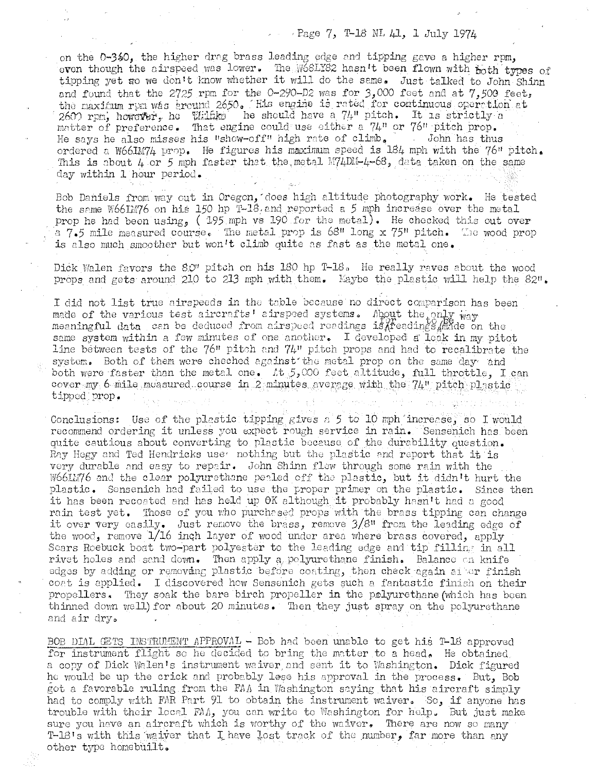## $P$  Page 7, T-18 NL  $\mu$ 1, 1 July 1974

on the  $0-350$ , the higher drag brass leading edge and tipping gave a higher rpm, even though the airspeed was lower. The W68LY82 hasn't been flown with  $_{\text{both}}$  types of tipping yet so we don't know whether it will do the same. Just talked to John Shinn and found that the 2725 rpm for the 0-290-D2 was for 3,000 feet and at 7,500 feet, the maximum rem was eround 2650. This engine is rated for continuous operation at  $260$ ) rpm, however, ho Wilfko he should have a  $74$ " pitch. It is strictly a matter of preference. That engine could use either a  $74$ <sup>n</sup> or  $76$ <sup>n</sup> pitch prop.<br>He says he also misses his "show-off" high rate of climb. John has thus He says he also misses his "show-off" high rate of climb. ordered a W66JM74 prop. He figures his maximum speed is 184 mph with the 76" pitch. This is about  $4$  or 5 mph faster that the metal M74DII-4-68, data taken on the same day within 1 hour period.

Bob Daniels from way out in Oregon, does high altitude photography work. He tested the same W66IM76 on his 150 hp T-18, and reported a 5 mph increase over the metal prop he had been using, (  $195$  mph vs 190 for the metal). He checked this out over a  $7.5$  mile measured course. The metal prop is  $68$ <sup>u</sup> long x  $75$ <sup>u</sup> pitch. The wood prop is also much smoother but won't climb quite as fast as the metal one.

Dick Walen favors the 8.0<sup>t</sup> pitch on his 180 hp T-18. He really raves about the wood props and gets around 210 to 213 mph with them. Laybe the plastic will help the 82".

I did not list true airspeeds in the table because no direct comparison has been made of the various test aircrafts' airspoed systems. About the only way meaningful data can be deduced from airspeed readings is $X$ feadings  $\mu$  ade on the same system within a few minutes of one another. I developed a leak in my pitot line between tests of the  $76"$  pitch and  $74"$  pitch props and had to recalibrate the system. Both of them were cheched against the metal prop on the same day and both were faster than the metal one.  $\Lambda t$  5,000 feet altitude, full throttle, I can cover  $my_1$  6  $m$ ile measured course in 2 minutes average with the  $74$ " pitch plastic tipped prop.

Conclusions: Use of the plastic tipping gives a  $5$  to 10 mph increase, so I would recommend ordering it unless you expect rough service in rain. Sensenich has been quite cautious about converting to plastic because of the durability question. Ray Hegy and Ted Hendricks use nothing but the plastic and report that it is very durable and easy to repair. John Shinn flow through some rain with the W66IL76 and the clear polyurethane perled off the plastic, but it didn't hurt the plastic. Sensenich had failed to use the proper primer on the plastic. Since then it has been recoated and has held up  $\theta$ K although it probably hasn't had a good rain test yet. Those of you who purchased props with the brass tipping can change it over very easily. Just remove the brass, remove  $3/8$ <sup>n</sup> from the leading edge of the wood, remove  $1/16$  inch layer of wood under area where brass covered, apply Scars Roebuck boat two-part polyester to the leading edge and tip filling in all rivet holes and sand down. Then apply a polyurethane finish. Balance on knife edges by adding or removing plastic before coating, then check again at er finish coat is applied. I discovered how Sensenich gets such a fantastic finish on their propellers. They soak the bare birch propeller in the polyurethane (which has been thinned down well) for about 20 minutes. Then they just spray on the polyurethane and eir dryo

BOB DIAL GETS INSTRUMENT APPROVAL - Bob had been unable to get his T-18 approved for instrument flight so he decided to bring the matter to a head. He obtained. a copy of Dick Walen's instrument waiver and sent it to Washington. Dick figured he would be up the crick and probably lese his approval in the process. But, Bob got a favorable ruling from the FAA in Washington saying that his aircraft simply had to comply with FAR Part 91 to obtain the instrument waiver. So, if anyone has trouble with their local FAA, you can write to Washington for help. But just make sure you have an aircraft which is worthy of the waiver. There are now so many T-18's with this waiver that I have lost track of the number, far more than any other type homebuilt.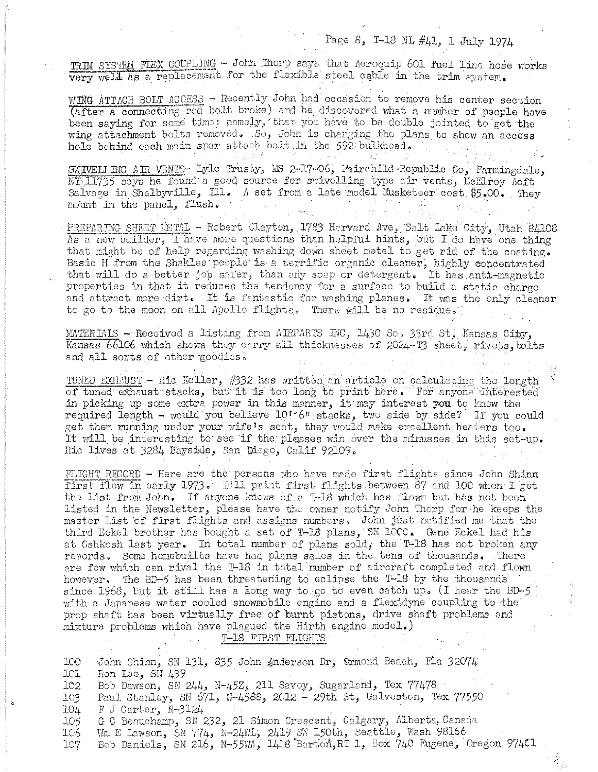# Page 8, T-18 NL #41, 1 July 1974

974C1

TRIM SYSTEM FIEX COUPLING - John Thorp says that Aeroquip 601 fuel line hose works very well as a replacement for the flexible steel cable in the trim system.

WING ATTACH BOLT ACCESS - Recently John had occasion to remove his center section (after a connecting rod bolt broke) and he discovered what a number of people have been saying for some time; namely, that you have to be double jointed to get the wing attachment bolts removed. So, John is changing the plans to show an access hole behind each main spar attach bolt in the 592 bulkhead.

SWIVELLING AIR VENTS- Lyle Trusty, MS 2-17-06, Fairchild Republic Co, Farmingdale,  $\overline{\text{NY}}$ 11735 says he found a good source for swivelling type air vents, McElroy Acft Salvage in Shelbyville, Ill. A set from a late model Musketeer cost \$5.00. They mount in the panel, flush.

PREPARING SHEET LETAL - Robert Clayton, 1783 Harvard Ave, Salt Lake City, Utah 84108 As a new builder, I have more questions than helpful hints, but I do have one thing that might be of help regarding washing down sheet metal to get rid of the coating. Basic H from the Shaklee people is a terrific organic cleaner, highly concentrated that will do a better job safer, than any soap or detergent. It has anti-magnetic properties in that it reduces the tendency for a surface to build a static charge and attract more dirt. It is fantastic for washing planes. It was the only cleaner to go to the moon on all Apollo flights. There will be no residue.

MATERIALS - Received a listing from AIRPARTS INC, 1430 So. 33rd St, Kansas City. Kansas 66106 which shows they carry all thicknesses of 2024-T3 sheet, rivets, bolts and all sorts of other goodies.

TUNED EXHAUST - Ric Keller, #332 has written an article on calculating the length of tuned exhaust stacks, but it is too long to print here. For anyone interested in picking up some extra power in this manner, it may interest you to know the required length - would you believe 10'6" stacks, two side by side? If you could get them running under your wife's seat, they would make excellent heaters too. It will be interesting to see if the plasses win over the minusses in this set-up. Ric lives at 3284 Bayside, San Diego, Calif 92109.

FLIGHT RECORD - Here are the persons who have made first flights since John Shinn first flew in early 1973. Fill print first flights between 87 and 100 when I get the list from John. If anyone knows of a T-18 which has flown but has not been listed in the Newsletter, please have the owner notify John Thorp for he keeps the master list of first flights and assigns numbers. John just notified me that the third Eckel brother has bought a set of T-18 plans, SN 10CC. Gene Eckel had his at Oshkosh last year. In total number of plans sold, the T-18 has not broken any resords. Some homebuilts have had plans sales in the tens of thousands. There are few which can rival the T-18 in total number of aircraft completed and flown however. The BD-5 has been threatening to eclipse the T-18 by the thousands since 1968, but it still has a long way to go to even catch up. (I hear the BD-5 with a Japanese water cooled snowmobile engine and a flexidyne coupling to the prop shaft has been virtually free of burnt pistons, drive shaft problems and mixture problems which have plagued the Hirth engine model.)

#### T-18 FIRST FLIGHTS

| 100              | John Shinn, SN 131, 835 John Anderson Dr, Ormond Beach, Fla 32074      |
|------------------|------------------------------------------------------------------------|
| 101              | Ron Lee, SN 439                                                        |
| 102 <sub>1</sub> | Bob Dawson, SN 244, N-45Z, 211 Savoy, Sugarland, Tex 77478             |
| 103              | Paul Stanley, SN 671, N-4588, 2012 - 29th St, Galveston, Tex 77550     |
| 104              | $F$ J Carter, N-3124                                                   |
| 105 <sub>1</sub> | G C Benuchamp, SN 232, 21 Simon Crescent, Calgary, Alberta, Canada     |
| 106              | Wm E Lawson, SN 774, N-24WL, 2419 SW 150th, Seattle, Wash 98166        |
| 107              | Bob Daniels, SN 216, N-55WA, 1418 Barton, RT 1, Box 740 Eugene, Oregon |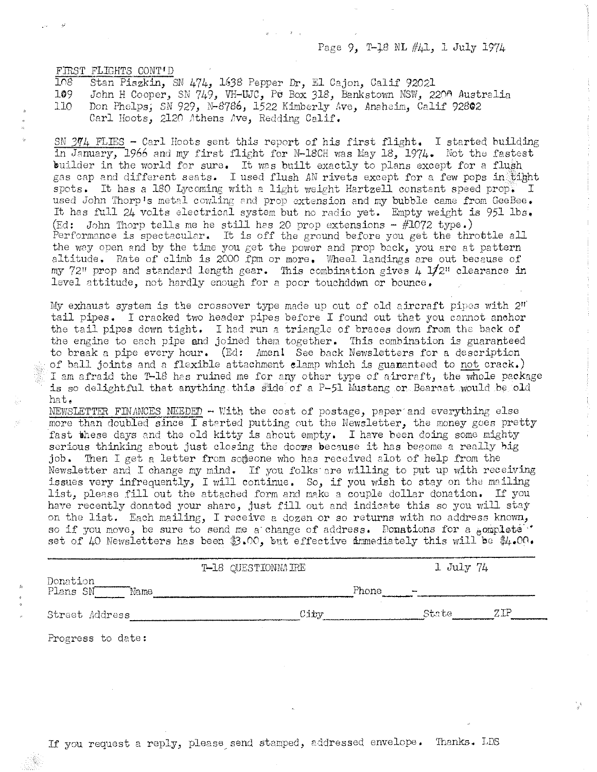Page 9, T-18 NL #41, 1 July 1974

FIRST FLIGHTS CONT'D<br>108 Stan Piszkin.  $108$  Stan Piszkin, SN 474, 1638 Pepper Dr, El Cajon, Calif 92021 109 John H Cooper. SN 749. VH-UJC. PU Box 318. Bankstown NSW. 23

John H Cooper, SN 749, VH-UJC, PU Box 318, Bankstown NSW, 220A Australia 110 Don Phelps; SN 929, N-8786, 1522 Kimberly Ave, Anaheim, Calif 92802 Carl Hoots, 2120 Athens Ave, Redding Calif.

SN  $3\%$ 4 FLIES - Carl Hoots sent this report of his first flight. I started building in January, 1966 and my first flight for N-18CH was May 18, 1974. Not the fastest builder in the world for sure. It was built exactly to plans except for a flush gas cap and different seats. I used flush AN rivets except for a few pops in tight spots. It has a 180 Lycoming with a light weight Hartzell constant speed prop. I used John Thorp's metal cowling and prop extension and my bubble came from GeeBee. It has full 24 volts electrical system but no radio yet. Empty weight is 951 lbs. (Ed: John Thorp tells me he still has 20 prop extensions  $-$  #1072 type.) Performance is spectacular. It is off the ground before you get the throttle all the way open and by the time you get the power and prop back, you are at pattern altitude. Rate of climb is 2000 fpm or more. Wheel landings are out because of my  $72$ " prop and standard length gear. This combination gives  $4\,12$ 2" clearance in level attitude, not hardly enough for a poor touchddwn or bounce.

My exhaust system is the crossover type made up out of old aircraft pipes with  $2<sup>u</sup>$ tail pipes. I cracked two header pipes before I found out that you cannot anchor the tail pipes down tight. I had run a triangle of braces down from the back of the engine to each pipe and joined then together. This combination is guaranteed to break a pipe every hour. (Ed: Amen! See back Newsletters for a description of ball joints and a flexible attachment elamp which is guananteed to not crack.) I am afraid the T-18 has ruined me for any other type of aircraft, the whole package is so delightful that anything this side of a P-51 Mustang or Bearcat would be old hat.

NEWSLETTER FINANCES NEEDED - With the cost of postage, paper and everything else more than doubled since I started putting out the Newsletter, the money goes pretty fast these days and the old kitty is about empty. I have been doing some mighty serious thinking about just closing the doows because it has become a really big job. Then I get a letter from someone who has received alot of help from the Newsletter and I change my mind. If you folks are willing to put up with receiving issues very infrequently, I will continue. So, if you wish to stay on the mailing list, please fill out the attached form and make a couple dollar donation. If you have recently donated your share, just fill out and indicate this so you will stay on the list. Each mailing, I receive a dozen or so returns with no address known, so if you move, be sure to send me a change of address. Donations for a  $hom$ set of 40 Newsletters has been \$3.00, but effective immediately this will be  $#4.00$ .

|                              | T-18 QUESTIONNAIRE | $1$ July $74$                             |
|------------------------------|--------------------|-------------------------------------------|
| Donation<br>Plans SN<br>Mame |                    | Phone<br>$\overline{a}$                   |
| Street Address               | City               | $\mathrm{Z}\mathrm{I}\mathrm{P}$<br>State |

Progress to date: